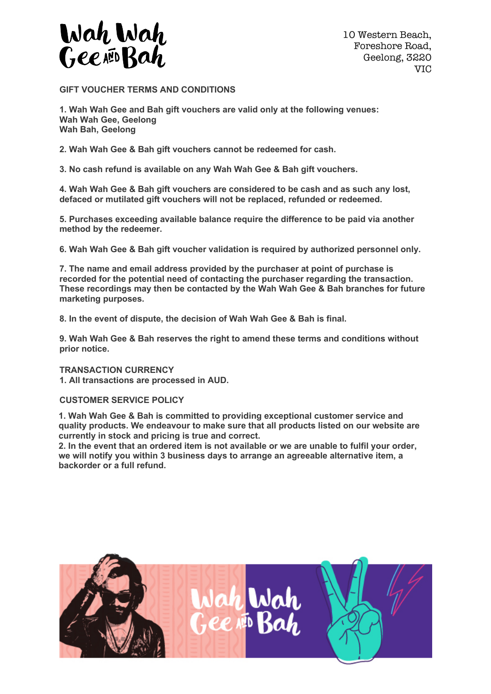

10 Western Beach, Foreshore Road, Geelong, 3220 VIC

**GIFT VOUCHER TERMS AND CONDITIONS**

**1. Wah Wah Gee and Bah gift vouchers are valid only at the following venues: Wah Wah Gee, Geelong Wah Bah, Geelong**

**2. Wah Wah Gee & Bah gift vouchers cannot be redeemed for cash.**

**3. No cash refund is available on any Wah Wah Gee & Bah gift vouchers.**

**4. Wah Wah Gee & Bah gift vouchers are considered to be cash and as such any lost, defaced or mutilated gift vouchers will not be replaced, refunded or redeemed.**

**5. Purchases exceeding available balance require the difference to be paid via another method by the redeemer.**

**6. Wah Wah Gee & Bah gift voucher validation is required by authorized personnel only.**

**7. The name and email address provided by the purchaser at point of purchase is recorded for the potential need of contacting the purchaser regarding the transaction. These recordings may then be contacted by the Wah Wah Gee & Bah branches for future marketing purposes.**

**8. In the event of dispute, the decision of Wah Wah Gee & Bah is final.**

**9. Wah Wah Gee & Bah reserves the right to amend these terms and conditions without prior notice.**

**TRANSACTION CURRENCY 1. All transactions are processed in AUD.**

## **CUSTOMER SERVICE POLICY**

**1. Wah Wah Gee & Bah is committed to providing exceptional customer service and quality products. We endeavour to make sure that all products listed on our website are currently in stock and pricing is true and correct.**

**2. In the event that an ordered item is not available or we are unable to fulfil your order, we will notify you within 3 business days to arrange an agreeable alternative item, a backorder or a full refund.**

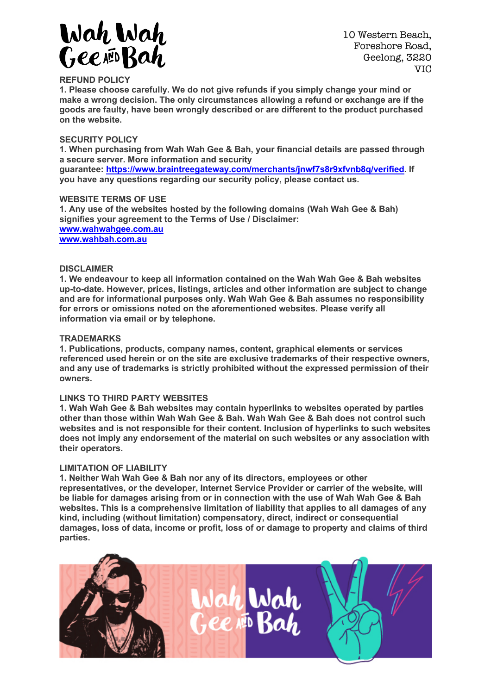

10 Western Beach, Foreshore Road, Geelong, 3220 VIC

# **REFUND POLICY**

**1. Please choose carefully. We do not give refunds if you simply change your mind or make a wrong decision. The only circumstances allowing a refund or exchange are if the goods are faulty, have been wrongly described or are different to the product purchased on the website.**

## **SECURITY POLICY**

**1. When purchasing from Wah Wah Gee & Bah, your financial details are passed through a secure server. More information and security**

**guarantee: https://www.braintreegateway.com/merchants/jnwf7s8r9xfvnb8q/verified. If you have any questions regarding our security policy, please contact us.**

#### **WEBSITE TERMS OF USE**

**1. Any use of the websites hosted by the following domains (Wah Wah Gee & Bah) signifies your agreement to the Terms of Use / Disclaimer: www.wahwahgee.com.au www.wahbah.com.au**

## **DISCLAIMER**

**1. We endeavour to keep all information contained on the Wah Wah Gee & Bah websites up-to-date. However, prices, listings, articles and other information are subject to change and are for informational purposes only. Wah Wah Gee & Bah assumes no responsibility for errors or omissions noted on the aforementioned websites. Please verify all information via email or by telephone.**

## **TRADEMARKS**

**1. Publications, products, company names, content, graphical elements or services referenced used herein or on the site are exclusive trademarks of their respective owners, and any use of trademarks is strictly prohibited without the expressed permission of their owners.**

#### **LINKS TO THIRD PARTY WEBSITES**

**1. Wah Wah Gee & Bah websites may contain hyperlinks to websites operated by parties other than those within Wah Wah Gee & Bah. Wah Wah Gee & Bah does not control such websites and is not responsible for their content. Inclusion of hyperlinks to such websites does not imply any endorsement of the material on such websites or any association with their operators.**

#### **LIMITATION OF LIABILITY**

**1. Neither Wah Wah Gee & Bah nor any of its directors, employees or other representatives, or the developer, Internet Service Provider or carrier of the website, will be liable for damages arising from or in connection with the use of Wah Wah Gee & Bah websites. This is a comprehensive limitation of liability that applies to all damages of any kind, including (without limitation) compensatory, direct, indirect or consequential damages, loss of data, income or profit, loss of or damage to property and claims of third parties.**